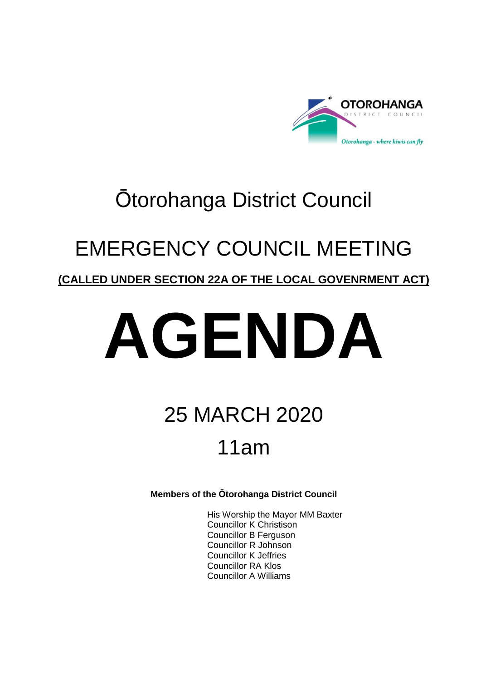

## Ōtorohanga District Council

## EMERGENCY COUNCIL MEETING

### **(CALLED UNDER SECTION 22A OF THE LOCAL GOVENRMENT ACT)**

# **AGENDA**

## 25 MARCH 2020 11am

**Members of the Ōtorohanga District Council**

His Worship the Mayor MM Baxter Councillor K Christison Councillor B Ferguson Councillor R Johnson Councillor K Jeffries Councillor RA Klos Councillor A Williams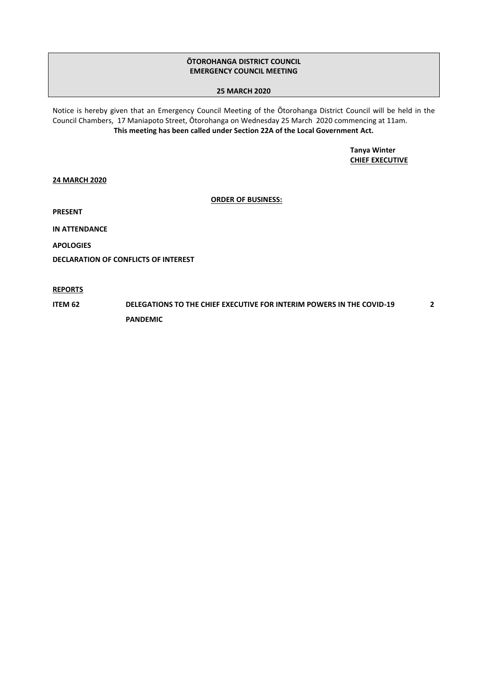#### **ŌTOROHANGA DISTRICT COUNCIL EMERGENCY COUNCIL MEETING**

#### **25 MARCH 2020**

Notice is hereby given that an Emergency Council Meeting of the Ōtorohanga District Council will be held in the Council Chambers, 17 Maniapoto Street, Ōtorohanga on Wednesday 25 March 2020 commencing at 11am. **This meeting has been called under Section 22A of the Local Government Act.**

> **Tanya Winter CHIEF EXECUTIVE**

**24 MARCH 2020**

**ORDER OF BUSINESS:**

**PRESENT**

**IN ATTENDANCE**

**APOLOGIES**

**DECLARATION OF CONFLICTS OF INTEREST**

**REPORTS**

**ITEM 62 DELEGATIONS TO THE CHIEF EXECUTIVE FOR INTERIM POWERS IN THE COVID-19 PANDEMIC 2**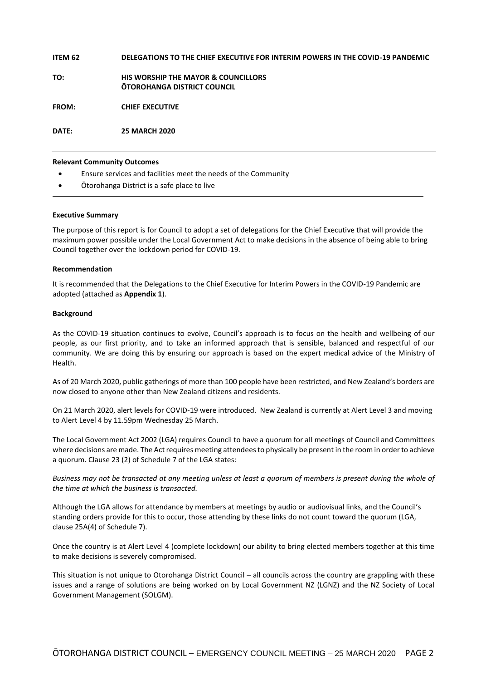#### **ITEM 62 DELEGATIONS TO THE CHIEF EXECUTIVE FOR INTERIM POWERS IN THE COVID-19 PANDEMIC**

**TO: HIS WORSHIP THE MAYOR & COUNCILLORS ŌTOROHANGA DISTRICT COUNCIL**

**FROM: CHIEF EXECUTIVE**

**DATE: 25 MARCH 2020**

#### **Relevant Community Outcomes**

- Ensure services and facilities meet the needs of the Community
- Ōtorohanga District is a safe place to live

#### **Executive Summary**

The purpose of this report is for Council to adopt a set of delegations for the Chief Executive that will provide the maximum power possible under the Local Government Act to make decisions in the absence of being able to bring Council together over the lockdown period for COVID-19.

#### **Recommendation**

It is recommended that the Delegations to the Chief Executive for Interim Powers in the COVID-19 Pandemic are adopted (attached as **Appendix 1**).

#### **Background**

As the COVID-19 situation continues to evolve, Council's approach is to focus on the health and wellbeing of our people, as our first priority, and to take an informed approach that is sensible, balanced and respectful of our community. We are doing this by ensuring our approach is based on the expert medical advice of the Ministry of Health.

As of 20 March 2020, public gatherings of more than 100 people have been restricted, and New Zealand's borders are now closed to anyone other than New Zealand citizens and residents.

On 21 March 2020, alert levels for COVID-19 were introduced. New Zealand is currently at Alert Level 3 and moving to Alert Level 4 by 11.59pm Wednesday 25 March.

The Local Government Act 2002 (LGA) requires Council to have a quorum for all meetings of Council and Committees where decisions are made. The Act requires meeting attendees to physically be present in the room in order to achieve a quorum. Clause 23 (2) of Schedule 7 of the LGA states:

*Business may not be transacted at any meeting unless at least a quorum of members is present during the whole of the time at which the business is transacted.*

Although the LGA allows for attendance by members at meetings by audio or audiovisual links, and the Council's standing orders provide for this to occur, those attending by these links do not count toward the quorum (LGA, clause 25A(4) of Schedule 7).

Once the country is at Alert Level 4 (complete lockdown) our ability to bring elected members together at this time to make decisions is severely compromised.

This situation is not unique to Otorohanga District Council – all councils across the country are grappling with these issues and a range of solutions are being worked on by Local Government NZ (LGNZ) and the NZ Society of Local Government Management (SOLGM).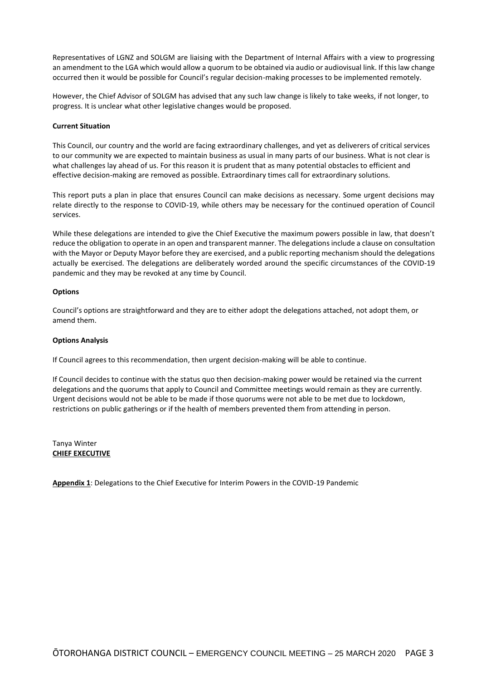Representatives of LGNZ and SOLGM are liaising with the Department of Internal Affairs with a view to progressing an amendment to the LGA which would allow a quorum to be obtained via audio or audiovisual link. If this law change occurred then it would be possible for Council's regular decision-making processes to be implemented remotely.

However, the Chief Advisor of SOLGM has advised that any such law change is likely to take weeks, if not longer, to progress. It is unclear what other legislative changes would be proposed.

#### **Current Situation**

This Council, our country and the world are facing extraordinary challenges, and yet as deliverers of critical services to our community we are expected to maintain business as usual in many parts of our business. What is not clear is what challenges lay ahead of us. For this reason it is prudent that as many potential obstacles to efficient and effective decision-making are removed as possible. Extraordinary times call for extraordinary solutions.

This report puts a plan in place that ensures Council can make decisions as necessary. Some urgent decisions may relate directly to the response to COVID-19, while others may be necessary for the continued operation of Council services.

While these delegations are intended to give the Chief Executive the maximum powers possible in law, that doesn't reduce the obligation to operate in an open and transparent manner. The delegations include a clause on consultation with the Mayor or Deputy Mayor before they are exercised, and a public reporting mechanism should the delegations actually be exercised. The delegations are deliberately worded around the specific circumstances of the COVID-19 pandemic and they may be revoked at any time by Council.

#### **Options**

Council's options are straightforward and they are to either adopt the delegations attached, not adopt them, or amend them.

#### **Options Analysis**

If Council agrees to this recommendation, then urgent decision-making will be able to continue.

If Council decides to continue with the status quo then decision-making power would be retained via the current delegations and the quorums that apply to Council and Committee meetings would remain as they are currently. Urgent decisions would not be able to be made if those quorums were not able to be met due to lockdown, restrictions on public gatherings or if the health of members prevented them from attending in person.

Tanya Winter **CHIEF EXECUTIVE**

**Appendix 1**: Delegations to the Chief Executive for Interim Powers in the COVID-19 Pandemic